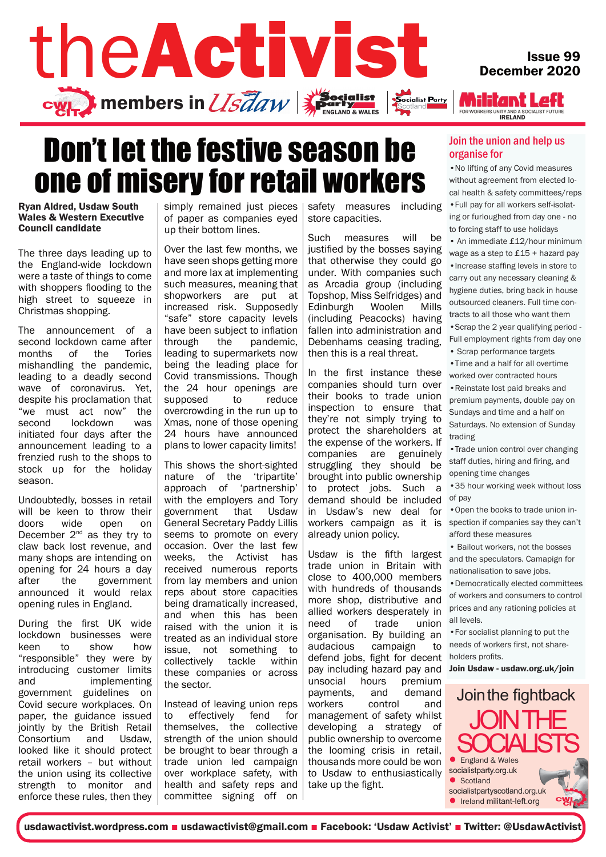

## Don't let the festive season be one of misery for retail workers

Ryan Aldred, Usdaw South Wales & Western Executive Council candidate

The three days leading up to the England-wide lockdown were a taste of things to come with shoppers flooding to the high street to squeeze in Christmas shopping.

The announcement of a second lockdown came after months of the Tories mishandling the pandemic, leading to a deadly second wave of coronavirus. Yet, despite his proclamation that "we must act now" the second lockdown was initiated four days after the announcement leading to a frenzied rush to the shops to stock up for the holiday season.

Undoubtedly, bosses in retail will be keen to throw their doors wide open on December  $2^{nd}$  as they try to claw back lost revenue, and many shops are intending on opening for 24 hours a day after the government announced it would relax opening rules in England.

During the first UK wide lockdown businesses were keen to show how "responsible" they were by introducing customer limits and implementing government guidelines on Covid secure workplaces. On paper, the guidance issued jointly by the British Retail Consortium and Usdaw, looked like it should protect retail workers – but without the union using its collective strength to monitor and enforce these rules, then they simply remained just pieces of paper as companies eyed up their bottom lines.

Over the last few months, we have seen shops getting more and more lax at implementing such measures, meaning that shopworkers are put at increased risk. Supposedly "safe" store capacity levels have been subject to inflation through the pandemic, leading to supermarkets now being the leading place for Covid transmissions. Though the 24 hour openings are supposed to reduce overcrowding in the run up to Xmas, none of those opening 24 hours have announced plans to lower capacity limits!

This shows the short-sighted nature of the 'tripartite' approach of 'partnership' with the employers and Tory government that Usdaw General Secretary Paddy Lillis seems to promote on every occasion. Over the last few weeks, the Activist has received numerous reports from lay members and union reps about store capacities being dramatically increased, and when this has been raised with the union it is treated as an individual store issue, not something to collectively tackle within these companies or across the sector.

Instead of leaving union reps to effectively fend for themselves, the collective strength of the union should be brought to bear through a trade union led campaign over workplace safety, with health and safety reps and committee signing off on safety measures including store capacities.

Such measures will be justified by the bosses saying that otherwise they could go under. With companies such as Arcadia group (including Topshop, Miss Selfridges) and Edinburgh Woolen Mills (including Peacocks) having fallen into administration and Debenhams ceasing trading, then this is a real threat.

In the first instance these companies should turn over their books to trade union inspection to ensure that they're not simply trying to protect the shareholders at the expense of the workers. If companies are genuinely struggling they should be brought into public ownership to protect jobs. Such a demand should be included in Usdaw's new deal for workers campaign as it is already union policy.

Usdaw is the fifth largest trade union in Britain with close to 400,000 members with hundreds of thousands more shop, distributive and allied workers desperately in need of trade union organisation. By building an audacious campaign to defend jobs, fight for decent pay including hazard pay and unsocial hours premium payments, and demand workers control and management of safety whilst developing a strategy of public ownership to overcome the looming crisis in retail, thousands more could be won to Usdaw to enthusiastically take up the fight.

### Issue 99 December 2020

**Militant Left** FOR WORKERS UNITY AND A SOCIALIST FUTURE

#### Join the union and help us organise for

•No lifting of any Covid measures without agreement from elected local health & safety committees/reps •Full pay for all workers self-isolating or furloughed from day one - no to forcing staff to use holidays

• An immediate £12/hour minimum wage as a step to £15 + hazard pay •Increase staffing levels in store to carry out any necessary cleaning & hygiene duties, bring back in house outsourced cleaners. Full time contracts to all those who want them

•Scrap the 2 year qualifying period - Full employment rights from day one

- Scrap performance targets
- •Time and a half for all overtime worked over contracted hours

•Reinstate lost paid breaks and premium payments, double pay on Sundays and time and a half on Saturdays. No extension of Sunday trading

•Trade union control over changing staff duties, hiring and firing, and opening time changes

•35 hour working week without loss of pay

•Open the books to trade union inspection if companies say they can't afford these measures

• Bailout workers, not the bosses and the speculators. Camapign for nationalisation to save jobs.

•Democratically elected committees of workers and consumers to control prices and any rationing policies at all levels.

•For socialist planning to put the needs of workers first, not shareholders profits.

Join Usdaw - usdaw.org.uk/join



usdawactivist.wordpress.com ■ usdawactivist@gmail.com ■ Facebook: 'Usdaw Activist' ■ Twitter: @UsdawActivist